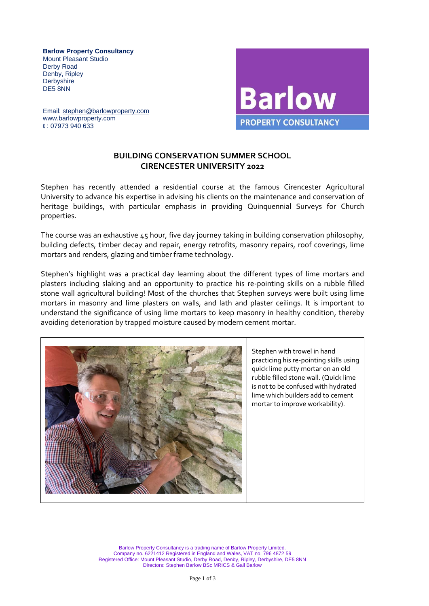**Barlow Property Consultancy** Mount Pleasant Studio Derby Road Denby, Ripley **Derbyshire** DE5 8NN

**Barlow PROPERTY CONSULTANCY** 

 Email: [stephen@barlowproperty.com](mailto:stephen@barlowproperty.com) www.barlowproperty.com  **t** : 07973 940 633

## **BUILDING CONSERVATION SUMMER SCHOOL CIRENCESTER UNIVERSITY 2022**

Stephen has recently attended a residential course at the famous Cirencester Agricultural University to advance his expertise in advising his clients on the maintenance and conservation of heritage buildings, with particular emphasis in providing Quinquennial Surveys for Church properties.

The course was an exhaustive 45 hour, five day journey taking in building conservation philosophy, building defects, timber decay and repair, energy retrofits, masonry repairs, roof coverings, lime mortars and renders, glazing and timber frame technology.

Stephen's highlight was a practical day learning about the different types of lime mortars and plasters including slaking and an opportunity to practice his re-pointing skills on a rubble filled stone wall agricultural building! Most of the churches that Stephen surveys were built using lime mortars in masonry and lime plasters on walls, and lath and plaster ceilings. It is important to understand the significance of using lime mortars to keep masonry in healthy condition, thereby avoiding deterioration by trapped moisture caused by modern cement mortar.



Stephen with trowel in hand practicing his re-pointing skills using quick lime putty mortar on an old rubble filled stone wall. (Quick lime is not to be confused with hydrated lime which builders add to cement mortar to improve workability).

Barlow Property Consultancy is a trading name of Barlow Property Limited. Company no. 6221412 Registered in England and Wales, VAT no. 796 4872 59 Registered Office: Mount Pleasant Studio, Derby Road, Denby, Ripley, Derbyshire, DE5 8NN Directors: Stephen Barlow BSc MRICS & Gail Barlow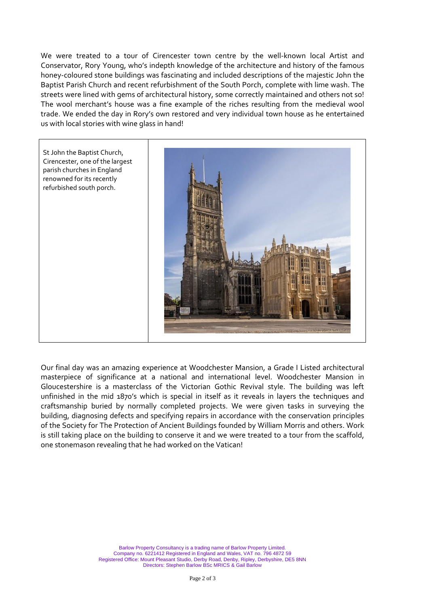We were treated to a tour of Cirencester town centre by the well-known local Artist and Conservator, Rory Young, who's indepth knowledge of the architecture and history of the famous honey-coloured stone buildings was fascinating and included descriptions of the majestic John the Baptist Parish Church and recent refurbishment of the South Porch, complete with lime wash. The streets were lined with gems of architectural history, some correctly maintained and others not so! The wool merchant's house was a fine example of the riches resulting from the medieval wool trade. We ended the day in Rory's own restored and very individual town house as he entertained us with local stories with wine glass in hand!



Our final day was an amazing experience at Woodchester Mansion, a Grade I Listed architectural masterpiece of significance at a national and international level. Woodchester Mansion in Gloucestershire is a masterclass of the Victorian Gothic Revival style. The building was left unfinished in the mid 1870's which is special in itself as it reveals in layers the techniques and craftsmanship buried by normally completed projects. We were given tasks in surveying the building, diagnosing defects and specifying repairs in accordance with the conservation principles of the Society for The Protection of Ancient Buildings founded by William Morris and others. Work is still taking place on the building to conserve it and we were treated to a tour from the scaffold, one stonemason revealing that he had worked on the Vatican!

> Barlow Property Consultancy is a trading name of Barlow Property Limited. Company no. 6221412 Registered in England and Wales, VAT no. 796 4872 59 Registered Office: Mount Pleasant Studio, Derby Road, Denby, Ripley, Derbyshire, DE5 8NN Directors: Stephen Barlow BSc MRICS & Gail Barlow